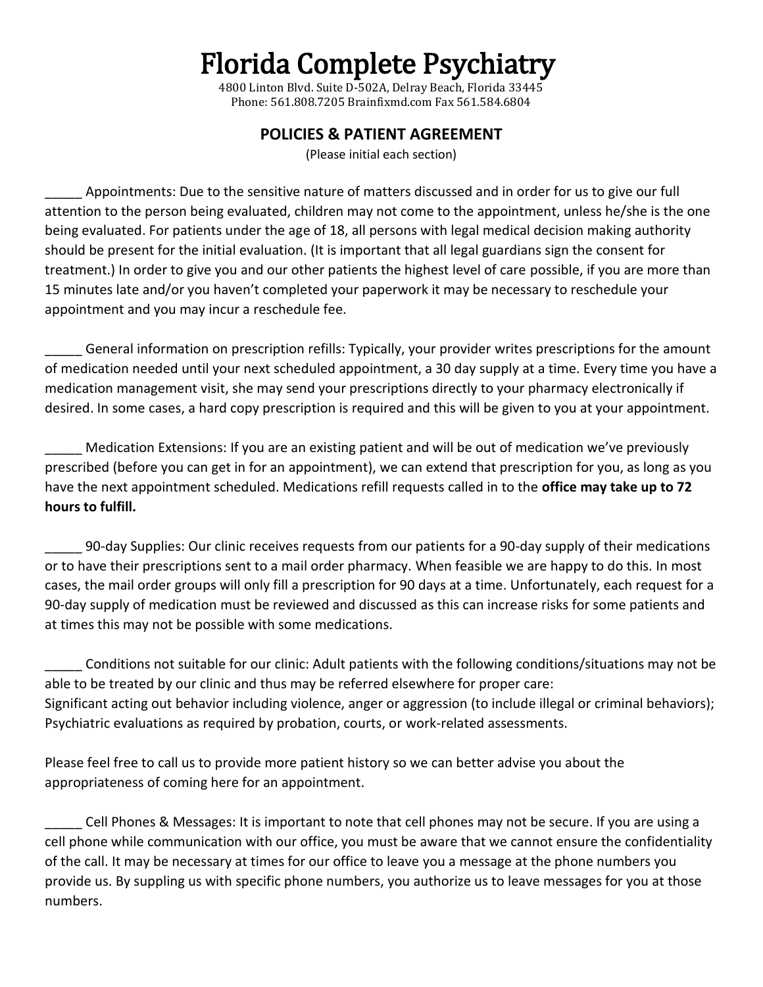## Florida Complete Psychiatry

4800 Linton Blvd. Suite D-502A, Delray Beach, Florida 33445 Phone: 561.808.7205 Brainfixmd.com Fax 561.584.6804

## **POLICIES & PATIENT AGREEMENT**

(Please initial each section)

Appointments: Due to the sensitive nature of matters discussed and in order for us to give our full attention to the person being evaluated, children may not come to the appointment, unless he/she is the one being evaluated. For patients under the age of 18, all persons with legal medical decision making authority should be present for the initial evaluation. (It is important that all legal guardians sign the consent for treatment.) In order to give you and our other patients the highest level of care possible, if you are more than 15 minutes late and/or you haven't completed your paperwork it may be necessary to reschedule your appointment and you may incur a reschedule fee.

General information on prescription refills: Typically, your provider writes prescriptions for the amount of medication needed until your next scheduled appointment, a 30 day supply at a time. Every time you have a medication management visit, she may send your prescriptions directly to your pharmacy electronically if desired. In some cases, a hard copy prescription is required and this will be given to you at your appointment.

Medication Extensions: If you are an existing patient and will be out of medication we've previously prescribed (before you can get in for an appointment), we can extend that prescription for you, as long as you have the next appointment scheduled. Medications refill requests called in to the **office may take up to 72 hours to fulfill.** 

\_\_\_\_\_ 90-day Supplies: Our clinic receives requests from our patients for a 90-day supply of their medications or to have their prescriptions sent to a mail order pharmacy. When feasible we are happy to do this. In most cases, the mail order groups will only fill a prescription for 90 days at a time. Unfortunately, each request for a 90-day supply of medication must be reviewed and discussed as this can increase risks for some patients and at times this may not be possible with some medications.

Conditions not suitable for our clinic: Adult patients with the following conditions/situations may not be able to be treated by our clinic and thus may be referred elsewhere for proper care: Significant acting out behavior including violence, anger or aggression (to include illegal or criminal behaviors); Psychiatric evaluations as required by probation, courts, or work-related assessments.

Please feel free to call us to provide more patient history so we can better advise you about the appropriateness of coming here for an appointment.

Cell Phones & Messages: It is important to note that cell phones may not be secure. If you are using a cell phone while communication with our office, you must be aware that we cannot ensure the confidentiality of the call. It may be necessary at times for our office to leave you a message at the phone numbers you provide us. By suppling us with specific phone numbers, you authorize us to leave messages for you at those numbers.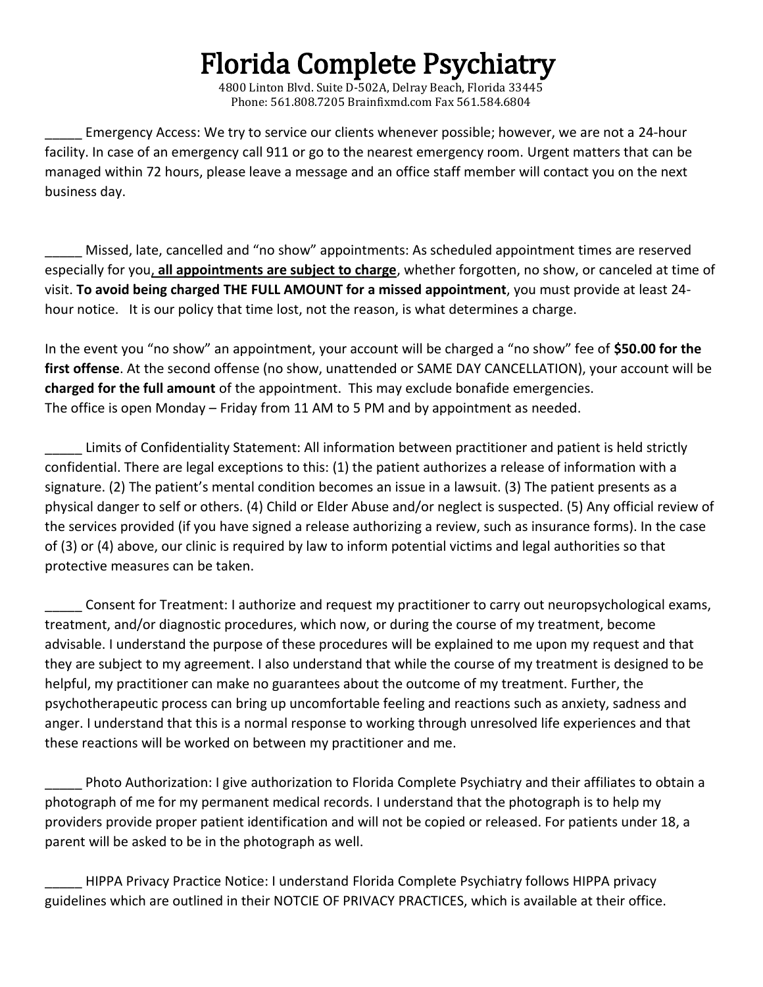## Florida Complete Psychiatry

4800 Linton Blvd. Suite D-502A, Delray Beach, Florida 33445 Phone: 561.808.7205 Brainfixmd.com Fax 561.584.6804

Emergency Access: We try to service our clients whenever possible; however, we are not a 24-hour facility. In case of an emergency call 911 or go to the nearest emergency room. Urgent matters that can be managed within 72 hours, please leave a message and an office staff member will contact you on the next business day.

\_\_\_\_\_ Missed, late, cancelled and "no show" appointments: As scheduled appointment times are reserved especially for you, **all appointments are subject to charge**, whether forgotten, no show, or canceled at time of visit. **To avoid being charged THE FULL AMOUNT for a missed appointment**, you must provide at least 24 hour notice. It is our policy that time lost, not the reason, is what determines a charge.

In the event you "no show" an appointment, your account will be charged a "no show" fee of **\$50.00 for the first offense**. At the second offense (no show, unattended or SAME DAY CANCELLATION), your account will be **charged for the full amount** of the appointment. This may exclude bonafide emergencies. The office is open Monday – Friday from 11 AM to 5 PM and by appointment as needed.

Limits of Confidentiality Statement: All information between practitioner and patient is held strictly confidential. There are legal exceptions to this: (1) the patient authorizes a release of information with a signature. (2) The patient's mental condition becomes an issue in a lawsuit. (3) The patient presents as a physical danger to self or others. (4) Child or Elder Abuse and/or neglect is suspected. (5) Any official review of the services provided (if you have signed a release authorizing a review, such as insurance forms). In the case of (3) or (4) above, our clinic is required by law to inform potential victims and legal authorities so that protective measures can be taken.

Consent for Treatment: I authorize and request my practitioner to carry out neuropsychological exams, treatment, and/or diagnostic procedures, which now, or during the course of my treatment, become advisable. I understand the purpose of these procedures will be explained to me upon my request and that they are subject to my agreement. I also understand that while the course of my treatment is designed to be helpful, my practitioner can make no guarantees about the outcome of my treatment. Further, the psychotherapeutic process can bring up uncomfortable feeling and reactions such as anxiety, sadness and anger. I understand that this is a normal response to working through unresolved life experiences and that these reactions will be worked on between my practitioner and me.

\_\_\_\_\_ Photo Authorization: I give authorization to Florida Complete Psychiatry and their affiliates to obtain a photograph of me for my permanent medical records. I understand that the photograph is to help my providers provide proper patient identification and will not be copied or released. For patients under 18, a parent will be asked to be in the photograph as well.

\_\_\_\_\_ HIPPA Privacy Practice Notice: I understand Florida Complete Psychiatry follows HIPPA privacy guidelines which are outlined in their NOTCIE OF PRIVACY PRACTICES, which is available at their office.